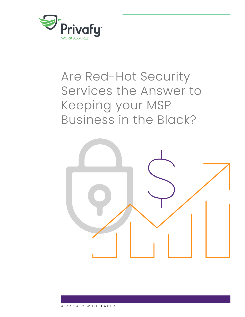

# Are Red-Hot Security Services the Answer to Keeping your MSP Business in the Black?

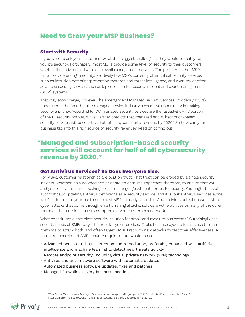# **Need to Grow your MSP Business?**

#### **Start with Security.**

If you were to ask your customers what their biggest challenge is, they would probably tell you it's security. Fortunately, most MSPs provide some level of security to their customers, whether it's antivirus software or firewall management services. The problem is that MSPs fail to provide enough security. Relatively few MSPs currently offer critical security services such as intrusion detection/prevention systems and threat intelligence, and even fewer offer advanced security services such as log collection for security incident and event management (SIEM) systems.

That may soon change, however. The emergence of Managed Security Services Providers (MSSPs) underscores the fact that the managed service industry sees a real opportunity in making security a priority. According to IDC, managed security services are the fastest-growing portion of the IT security market, while Gartner predicts that managed and subscription-based security services will account for half of all cybersecurity revenue by 2020.<sup>1</sup> So how can your business tap into this rich source of security revenue? Read on to find out.

## **"Managed and subscription-based security services will account for half of all cybersecurity revenue by 2020."**

#### **Got Antivirus Services? So Does Everyone Else.**

For MSPs, customer relationships are built on trust. That trust can be eroded by a single security incident, whether it's a downed server or stolen data. It's important, therefore, to ensure that you and your customers are speaking the same language when it comes to security. You might think of automatically updating antivirus definitions as a security service, and it is, but antivirus services alone won't differentiate your business—most MSPs already offer this. And antivirus detection won't stop cyber attacks that come through email phishing attacks, software vulnerabilities or many of the other methods that criminals use to compromise your customer's network.

What constitutes a complete security solution for small and medium businesses? Surprisingly, the security needs of SMBs vary little from larger enterprises. That's because cyber criminals use the same methods to attack both, and often target SMBs first with new attacks to test their effectiveness. A complete checklist of SMB security requirements would include:

- Advanced persistent threat detection and remediation, preferably enhanced with artificial intelligence and machine learning to detect new threats quickly
- Remote endpoint security, including virtual private network (VPN) technology
- Antivirus and anti-malware software with automatic updates
- Automated business software updates, fixes and patches
- Managed firewalls at every business location

1 Mike Vizan, "Spending on Managed Security Services expected to jump in 2019," SmarterMSP.com, November 15, 2018, [https://smartermsp.com/spending-managed-security-services-expected-jump-2019/.](https://smartermsp.com/spending-managed-security-services-expected-jump-2019/)

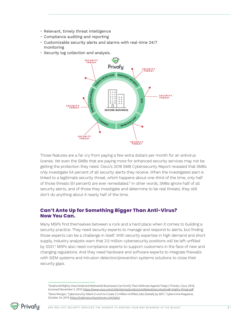- Relevant, timely threat intelligence
- Compliance auditing and reporting
- Customizable security alerts and alarms with real-time 24/7 monitoring
- Security log collection and analysis.



Those features are a far cry from paying a few extra dollars per month for an antivirus license. Yet even the SMBs that are paying more for enhanced security services may not be getting the protection they need. Cisco's 2018 SMB Cybersecurity Report revealed that SMBs only investigate 54 percent of all security alerts they receive. When the investigated alert is linked to a legitimate security threat, which happens about one-third of the time, only half of those threats (51 percent) are ever remediated.<sup>2</sup> In other words, SMBs ignore half of all security alerts, and of those they investigate and determine to be real threats, they still don't do anything about it nearly half of the time.

### **Can't Ante Up for Something Bigger Than Anti-Virus? Now You Can.**

Many MSPs find themselves between a rock and a hard place when it comes to building a security practice. They need security experts to manage and respond to alerts, but finding those experts can be a challenge in itself. With security expertise in high demand and short supply, industry analysts warn that 3.5 million cybersecurity positions will be left unfilled by 2021.<sup>3</sup> MSPs also need compliance experts to support customers in the face of new and changing regulations. And they need hardware and software experts to integrate firewalls with SIEM systems and intrusion detection/prevention systems solutions to close their security gaps.

<sup>2</sup>Small and Mighty: How Small and Midmarket Businesses Can Fortify Their Defenses Against Today's Threats, Cisco, 2018, Accessed November 5, 2019, https://www.cisco.com/c/dam/en/us/products/collateral/security/small-mighty-threat.pdf. 3 Steve Morgan, "Cybersecurity Talent Crunch to Create 3.5 Million Unfilled Jobs Globally by 2021," Cybercrime Magazine, October 24, 2019, https://cybersecurityventures.com/jobs/.

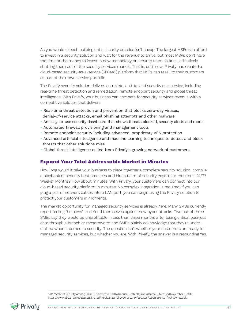As you would expect, building out a security practice isn't cheap. The largest MSPs can afford to invest in a security solution and wait for the revenue to arrive, but most MSPs don't have the time or the money to invest in new technology or security team salaries, effectively shutting them out of the security services market. That is, until now. Privafy has created a cloud-based security-as-a-service (SECaaS) platform that MSPs can resell to their customers as part of their own service portfolio.

The Privafy security solution delivers complete, end-to-end security as a service, including real-time threat detection and remediation, remote endpoint security and global threat intelligence. With Privafy, your business can compete for security services revenue with a competitive solution that delivers:

- Real-time threat detection and prevention that blocks zero-day viruses, denial-of-service attacks, email phishing attempts and other malware
- An easy-to-use security dashboard that shows threats blocked, security alerts and more;
- Automated firewall provisioning and management tools
- Remote endpoint security including advanced, proprietary VPN protection
- Advanced artificial intelligence and machine learning techniques to detect and block threats that other solutions miss
- Global threat intelligence culled from Privafy's growing network of customers.

#### **Expand Your Total Addressable Market in Minutes**

How long would it take your business to piece together a complete security solution, compile a playbook of security best practices and hire a team of security experts to monitor it 24/7? Weeks? Months? How about minutes. With Privafy, your customers can connect into our cloud-based security platform in minutes. No complex integration is required; if you can plug a pair of network cables into a LAN port, you can begin using the Privafy solution to protect your customers in moments.

The market opportunity for managed security services is already here. Many SMBs currently report feeling "helpless" to defend themselves against new cyber attacks. Two out of three SMBs say they would be unprofitable in less than three months after losing critical business data through a breach or ransomware<sup>4</sup> and SMBs plainly acknowledge that they're understaffed when it comes to security. The question isn't whether your customers are ready for managed security services, but whether you are. With Privafy, the answer is a resounding Yes.

<sup>4</sup> 2017 State of Security Among Small Businesses in North America, Better Business Bureau, Accessed November 5, 2019, https://www.bbb.org/globalassets/shared/media/state-of-cybersecurity/updates/cybersecurity\_final-lowres.pdf.

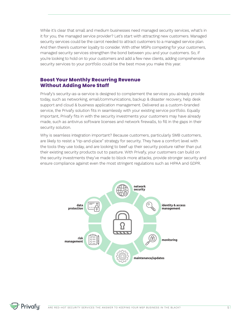While it's clear that small and medium businesses need managed security services, what's in it for you, the managed service provider? Let's start with attracting new customers. Managed security services could be the carrot needed to attract customers to a managed service plan. And then there's customer loyalty to consider. With other MSPs competing for your customers, managed security services strengthen the bond between you and your customers. So, if you're looking to hold on to your customers and add a few new clients, adding comprehensive security services to your portfolio could be the best move you make this year.

### **Boost Your Monthly Recurring Revenue Without Adding More Staff**

Privafy's security-as-a-service is designed to complement the services you already provide today, such as networking, email/communications, backup & disaster recovery, help desk support and cloud & business application management. Delivered as a custom-branded service, the Privafy solution fits in seamlessly with your existing service portfolio. Equally important, Privafy fits in with the security investments your customers may have already made, such as antivirus software licenses and network firewalls, to fill in the gaps in their security solution.

Why is seamless integration important? Because customers, particularly SMB customers, are likely to resist a "rip-and-place" strategy for security. They have a comfort level with the tools they use today, and are looking to beef up their security posture rather than put their existing security products out to pasture. With Privafy, your customers can build on the security investments they've made to block more attacks, provide stronger security and ensure compliance against even the most stringent regulations such as HIPAA and GDPR.



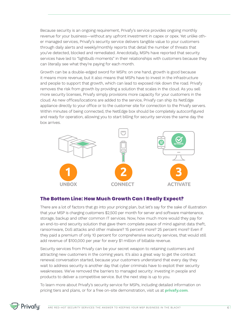Because security is an ongoing requirement, Privafy's service provides ongoing monthly revenue for your business—without any upfront investment in capex or opex. Yet unlike other managed services, Privafy's security service delivers tangible value to your customers through daily alerts and weekly/monthly reports that detail the number of threats that you've detected, blocked and remediated. Anecdotally, MSPs have reported that security services have led to "lightbulb moments" in their relationships with customers because they can literally see what they're paying for each month.

Growth can be a double-edged sword for MSPs: on one hand, growth is good because it means more revenue, but it also means that MSPs have to invest in the infrastructure and people to support that growth, which can lead to exposed risk down the road. Privafy removes the risk from growth by providing a solution that scales in the cloud. As you sell more security licenses, Privafy simply provisions more capacity for your customers in the cloud. As new offices/locations are added to the service, Privafy can ship its NetEdge appliance directly to your office or to the customer site for connection to the Privafy servers. Within minutes of being connected, the NetEdge box should be completely autoconfigured and ready for operation, allowing you to start billing for security services the same day the box arrives.



### **The Bottom Line: How Much Growth Can I Really Expect?**

There are a lot of factors that go into your pricing plan, but let's say for the sake of illustration that your MSP is charging customers \$2,500 per month for server and software maintenance, storage, backup and other common IT services. Now, how much more would they pay for an end-to-end security solution that gave them complete peace of mind against data theft, ransomware, DoS attacks and other malware? 15 percent more? 25 percent more? Even if they paid a premium of only 10 percent for comprehensive security services, that would still add revenue of \$100,000 per year for every \$1 million of billable revenue.

Security services from Privafy can be your secret weapon to retaining customers and attracting new customers in the coming years. It's also a great way to get the contract renewal conversation started, because your customers understand that every day they wait to address security is another day that cyber criminals have to exploit their security weaknesses. We've removed the barriers to managed security: investing in people and products to deliver a competitive service. But the next step is up to you.

To learn more about Privafy's security service for MSPs, including detailed information on pricing tiers and plans, or for a free on-site demonstration, visit us at **privafy.com**.